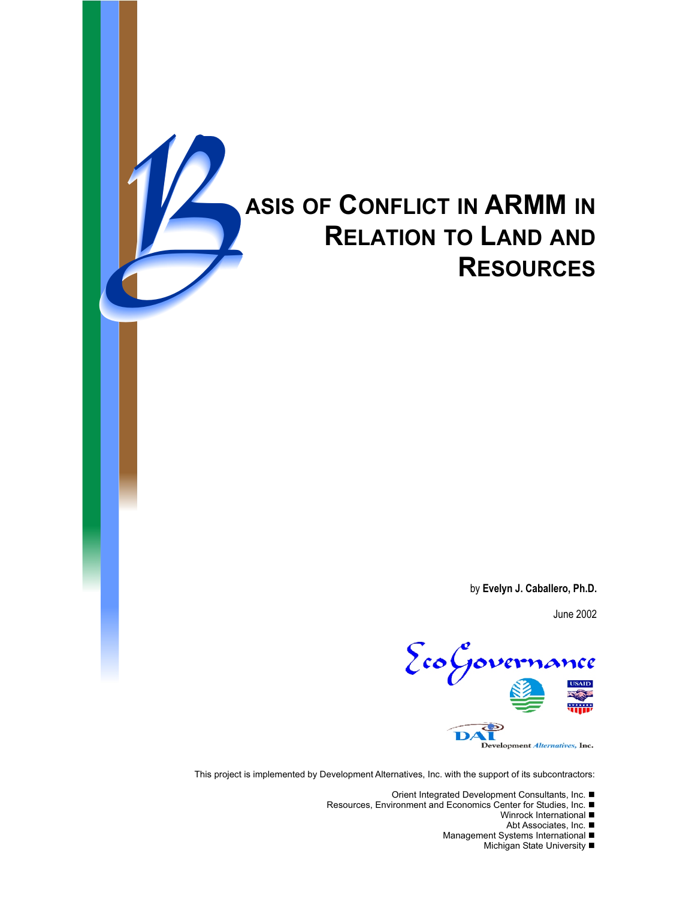

# B**ASIS OF <sup>C</sup>ONFLICT IN ARMM IN RELATION TO LAND AND RESOURCES**

by **Evelyn J. Caballero, Ph.D.**

June 2002



This project is implemented by Development Alternatives, Inc. with the support of its subcontractors:

Orient Integrated Development Consultants, Inc. ■

Resources, Environment and Economics Center for Studies, Inc.

Winrock International  $\blacksquare$ 

Abt Associates, Inc. ■

- Management Systems International
	- Michigan State University ■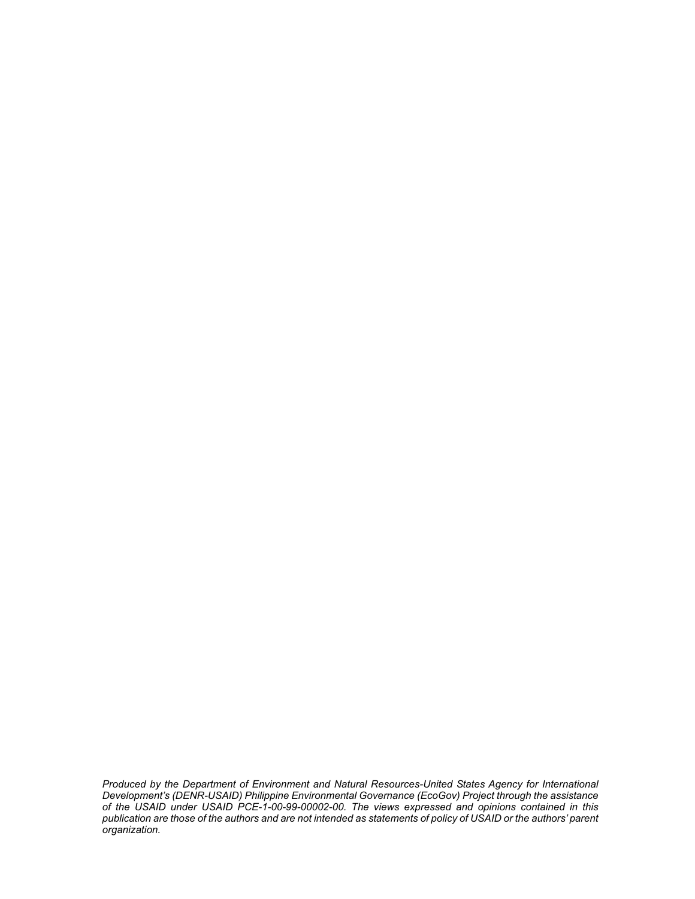*Produced by the Department of Environment and Natural Resources-United States Agency for International Development's (DENR-USAID) Philippine Environmental Governance (EcoGov) Project through the assistance of the USAID under USAID PCE-1-00-99-00002-00. The views expressed and opinions contained in this publication are those of the authors and are not intended as statements of policy of USAID or the authors' parent organization.*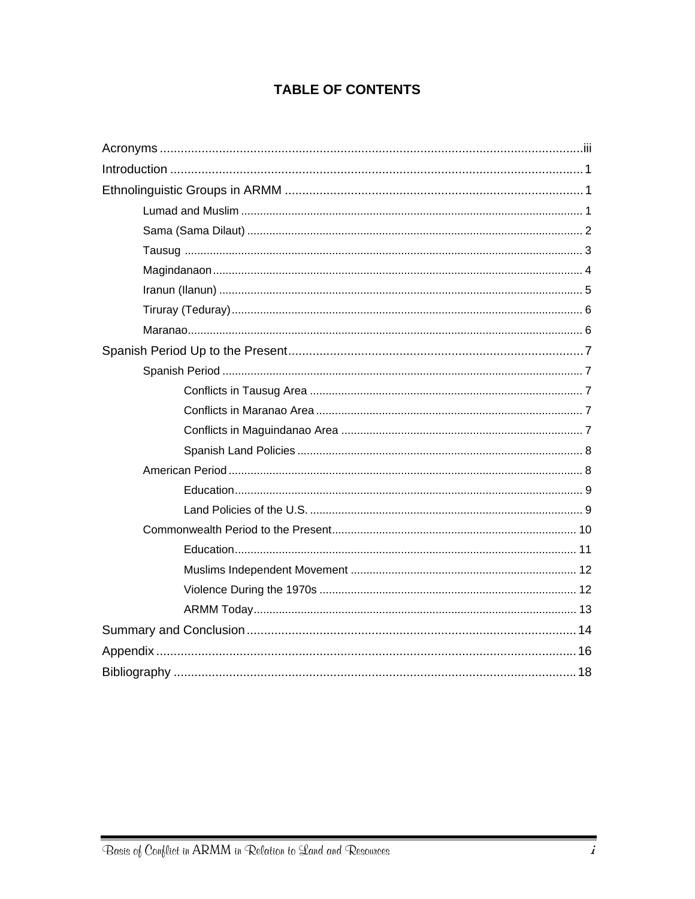# **TABLE OF CONTENTS**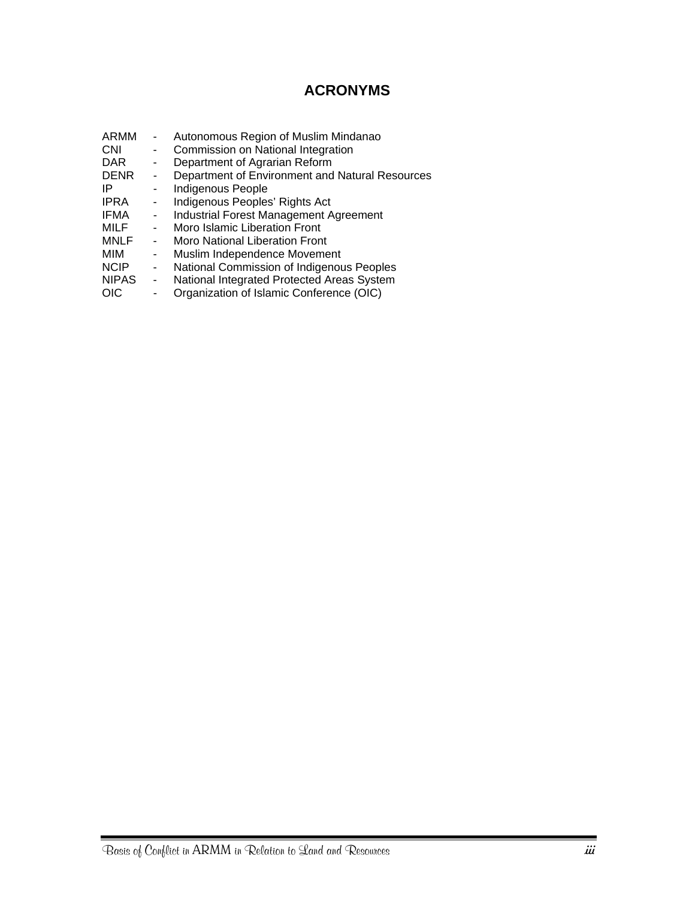# **ACRONYMS**

- <span id="page-4-0"></span>ARMM - Autonomous Region of Muslim Mindanao<br>CNI - Commission on National Integration - Commission on National Integration DAR - Department of Agrarian Reform<br>DENR - Department of Environment and DENR - Department of Environment and Natural Resources<br>IP - Indigenous People - Indigenous People IPRA - Indigenous Peoples' Rights Act<br>IFMA - Industrial Forest Management A IFMA - Industrial Forest Management Agreement<br>MILF - Moro Islamic Liberation Front - Moro Islamic Liberation Front MNLF - Moro National Liberation Front<br>MIM - Muslim Independence Moveme - Muslim Independence Movement NCIP - National Commission of Indigenous Peoples NIPAS - National Integrated Protected Areas System<br>OIC - Organization of Islamic Conference (OIC)
- Organization of Islamic Conference (OIC)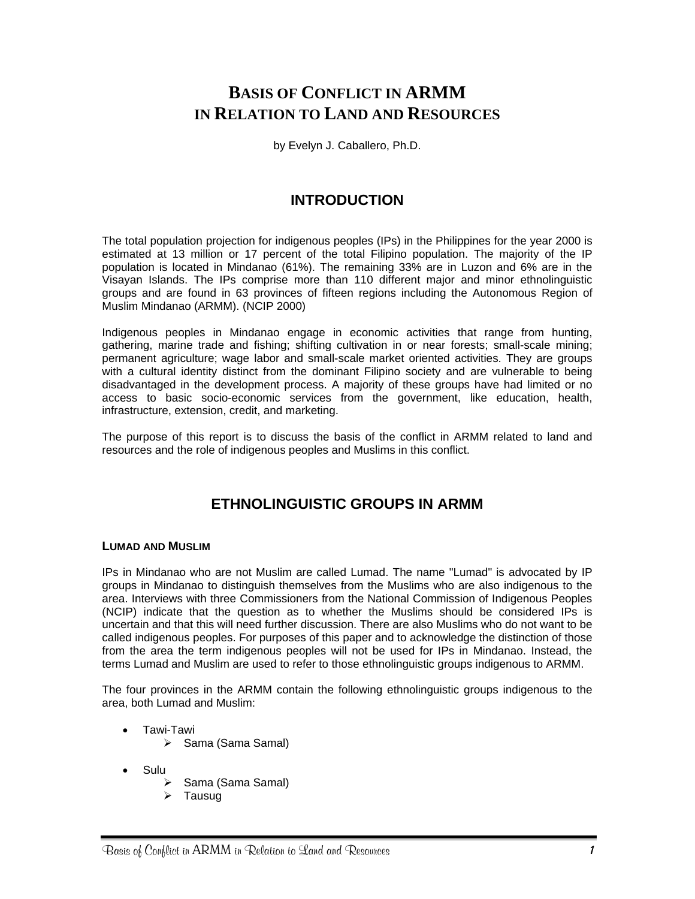# <span id="page-6-0"></span>**BASIS OF CONFLICT IN ARMM IN RELATION TO LAND AND RESOURCES**

by Evelyn J. Caballero, Ph.D.

## **INTRODUCTION**

The total population projection for indigenous peoples (IPs) in the Philippines for the year 2000 is estimated at 13 million or 17 percent of the total Filipino population. The majority of the IP population is located in Mindanao (61%). The remaining 33% are in Luzon and 6% are in the Visayan Islands. The IPs comprise more than 110 different major and minor ethnolinguistic groups and are found in 63 provinces of fifteen regions including the Autonomous Region of Muslim Mindanao (ARMM). (NCIP 2000)

Indigenous peoples in Mindanao engage in economic activities that range from hunting, gathering, marine trade and fishing; shifting cultivation in or near forests; small-scale mining; permanent agriculture; wage labor and small-scale market oriented activities. They are groups with a cultural identity distinct from the dominant Filipino society and are vulnerable to being disadvantaged in the development process. A majority of these groups have had limited or no access to basic socio-economic services from the government, like education, health, infrastructure, extension, credit, and marketing.

The purpose of this report is to discuss the basis of the conflict in ARMM related to land and resources and the role of indigenous peoples and Muslims in this conflict.

# **ETHNOLINGUISTIC GROUPS IN ARMM**

#### **LUMAD AND MUSLIM**

IPs in Mindanao who are not Muslim are called Lumad. The name "Lumad" is advocated by IP groups in Mindanao to distinguish themselves from the Muslims who are also indigenous to the area. Interviews with three Commissioners from the National Commission of Indigenous Peoples (NCIP) indicate that the question as to whether the Muslims should be considered IPs is uncertain and that this will need further discussion. There are also Muslims who do not want to be called indigenous peoples. For purposes of this paper and to acknowledge the distinction of those from the area the term indigenous peoples will not be used for IPs in Mindanao. Instead, the terms Lumad and Muslim are used to refer to those ethnolinguistic groups indigenous to ARMM.

The four provinces in the ARMM contain the following ethnolinguistic groups indigenous to the area, both Lumad and Muslim:

- Tawi-Tawi
	- ¾ Sama (Sama Samal)
- Sulu
	- ¾ Sama (Sama Samal)
	- Tausug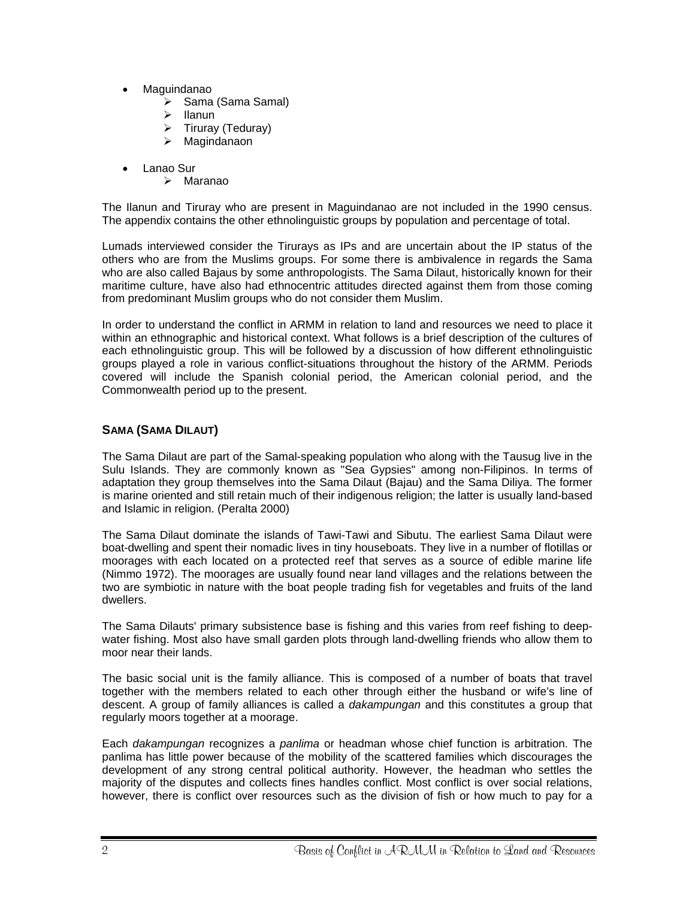- <span id="page-7-0"></span>• Maguindanao
	- ¾ Sama (Sama Samal)
	- **Ilanun**
	- $\triangleright$  Tiruray (Teduray)
	- $\triangleright$  Magindanaon
- Lanao Sur
	- $\triangleright$  Maranao

The Ilanun and Tiruray who are present in Maguindanao are not included in the 1990 census. The appendix contains the other ethnolinguistic groups by population and percentage of total.

Lumads interviewed consider the Tirurays as IPs and are uncertain about the IP status of the others who are from the Muslims groups. For some there is ambivalence in regards the Sama who are also called Bajaus by some anthropologists. The Sama Dilaut, historically known for their maritime culture, have also had ethnocentric attitudes directed against them from those coming from predominant Muslim groups who do not consider them Muslim.

In order to understand the conflict in ARMM in relation to land and resources we need to place it within an ethnographic and historical context. What follows is a brief description of the cultures of each ethnolinguistic group. This will be followed by a discussion of how different ethnolinguistic groups played a role in various conflict-situations throughout the history of the ARMM. Periods covered will include the Spanish colonial period, the American colonial period, and the Commonwealth period up to the present.

#### **SAMA (SAMA DILAUT)**

The Sama Dilaut are part of the Samal-speaking population who along with the Tausug live in the Sulu Islands. They are commonly known as "Sea Gypsies" among non-Filipinos. In terms of adaptation they group themselves into the Sama Dilaut (Bajau) and the Sama Diliya. The former is marine oriented and still retain much of their indigenous religion; the latter is usually land-based and Islamic in religion. (Peralta 2000)

The Sama Dilaut dominate the islands of Tawi-Tawi and Sibutu. The earliest Sama Dilaut were boat-dwelling and spent their nomadic lives in tiny houseboats. They live in a number of flotillas or moorages with each located on a protected reef that serves as a source of edible marine life (Nimmo 1972). The moorages are usually found near land villages and the relations between the two are symbiotic in nature with the boat people trading fish for vegetables and fruits of the land dwellers.

The Sama Dilauts' primary subsistence base is fishing and this varies from reef fishing to deepwater fishing. Most also have small garden plots through land-dwelling friends who allow them to moor near their lands.

The basic social unit is the family alliance. This is composed of a number of boats that travel together with the members related to each other through either the husband or wife's line of descent. A group of family alliances is called a *dakampungan* and this constitutes a group that regularly moors together at a moorage.

Each *dakampungan* recognizes a *panlima* or headman whose chief function is arbitration. The panlima has little power because of the mobility of the scattered families which discourages the development of any strong central political authority. However, the headman who settles the majority of the disputes and collects fines handles conflict. Most conflict is over social relations, however, there is conflict over resources such as the division of fish or how much to pay for a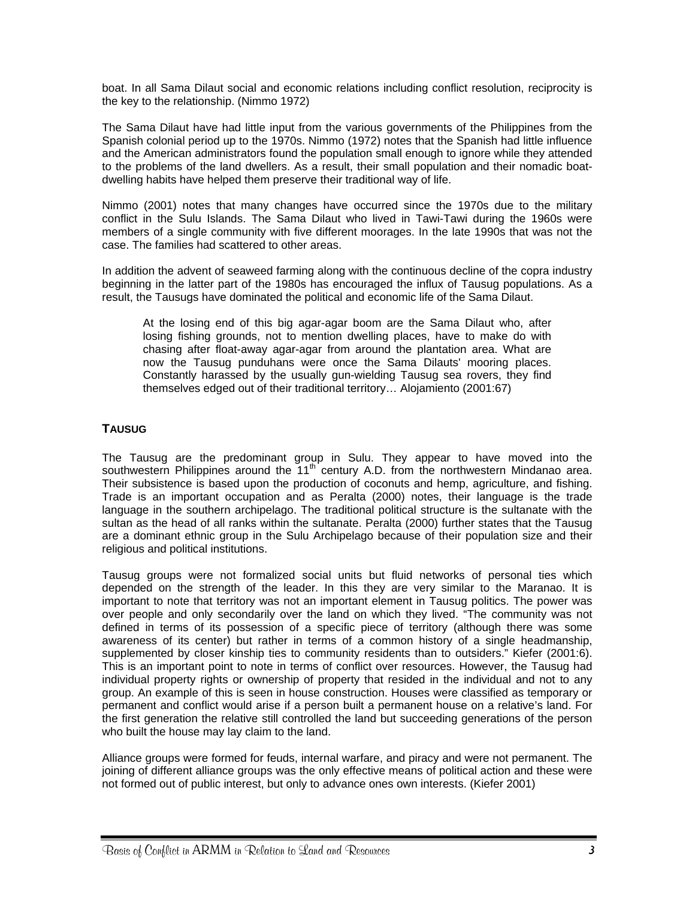<span id="page-8-0"></span>boat. In all Sama Dilaut social and economic relations including conflict resolution, reciprocity is the key to the relationship. (Nimmo 1972)

The Sama Dilaut have had little input from the various governments of the Philippines from the Spanish colonial period up to the 1970s. Nimmo (1972) notes that the Spanish had little influence and the American administrators found the population small enough to ignore while they attended to the problems of the land dwellers. As a result, their small population and their nomadic boatdwelling habits have helped them preserve their traditional way of life.

Nimmo (2001) notes that many changes have occurred since the 1970s due to the military conflict in the Sulu Islands. The Sama Dilaut who lived in Tawi-Tawi during the 1960s were members of a single community with five different moorages. In the late 1990s that was not the case. The families had scattered to other areas.

In addition the advent of seaweed farming along with the continuous decline of the copra industry beginning in the latter part of the 1980s has encouraged the influx of Tausug populations. As a result, the Tausugs have dominated the political and economic life of the Sama Dilaut.

At the losing end of this big agar-agar boom are the Sama Dilaut who, after losing fishing grounds, not to mention dwelling places, have to make do with chasing after float-away agar-agar from around the plantation area. What are now the Tausug punduhans were once the Sama Dilauts' mooring places. Constantly harassed by the usually gun-wielding Tausug sea rovers, they find themselves edged out of their traditional territory… Alojamiento (2001:67)

#### **TAUSUG**

The Tausug are the predominant group in Sulu. They appear to have moved into the southwestern Philippines around the  $11<sup>th</sup>$  century A.D. from the northwestern Mindanao area. Their subsistence is based upon the production of coconuts and hemp, agriculture, and fishing. Trade is an important occupation and as Peralta (2000) notes, their language is the trade language in the southern archipelago. The traditional political structure is the sultanate with the sultan as the head of all ranks within the sultanate. Peralta (2000) further states that the Tausug are a dominant ethnic group in the Sulu Archipelago because of their population size and their religious and political institutions.

Tausug groups were not formalized social units but fluid networks of personal ties which depended on the strength of the leader. In this they are very similar to the Maranao. It is important to note that territory was not an important element in Tausug politics. The power was over people and only secondarily over the land on which they lived. "The community was not defined in terms of its possession of a specific piece of territory (although there was some awareness of its center) but rather in terms of a common history of a single headmanship, supplemented by closer kinship ties to community residents than to outsiders." Kiefer (2001:6). This is an important point to note in terms of conflict over resources. However, the Tausug had individual property rights or ownership of property that resided in the individual and not to any group. An example of this is seen in house construction. Houses were classified as temporary or permanent and conflict would arise if a person built a permanent house on a relative's land. For the first generation the relative still controlled the land but succeeding generations of the person who built the house may lay claim to the land.

Alliance groups were formed for feuds, internal warfare, and piracy and were not permanent. The joining of different alliance groups was the only effective means of political action and these were not formed out of public interest, but only to advance ones own interests. (Kiefer 2001)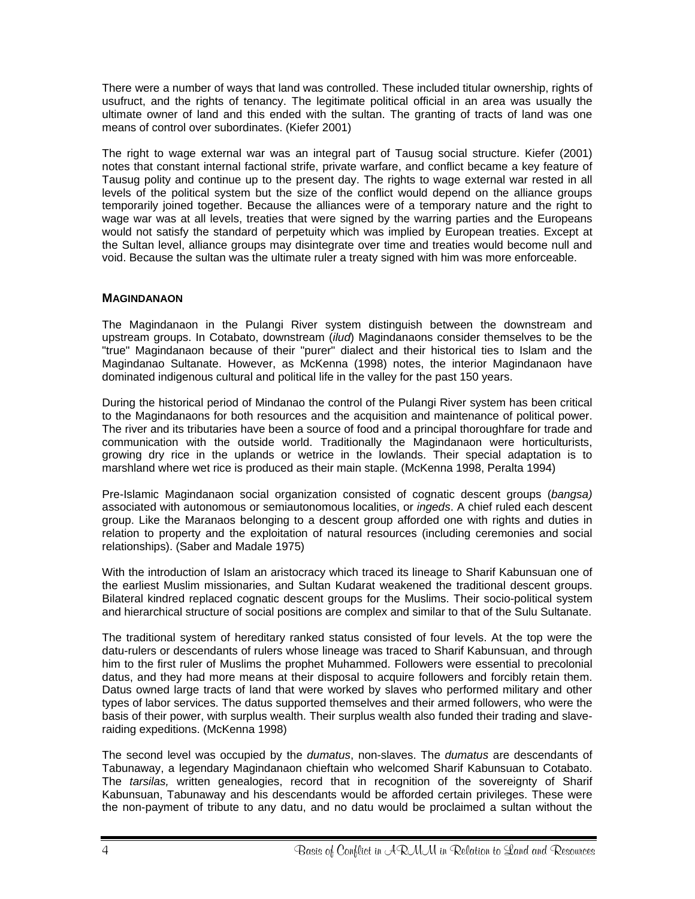<span id="page-9-0"></span>There were a number of ways that land was controlled. These included titular ownership, rights of usufruct, and the rights of tenancy. The legitimate political official in an area was usually the ultimate owner of land and this ended with the sultan. The granting of tracts of land was one means of control over subordinates. (Kiefer 2001)

The right to wage external war was an integral part of Tausug social structure. Kiefer (2001) notes that constant internal factional strife, private warfare, and conflict became a key feature of Tausug polity and continue up to the present day. The rights to wage external war rested in all levels of the political system but the size of the conflict would depend on the alliance groups temporarily joined together. Because the alliances were of a temporary nature and the right to wage war was at all levels, treaties that were signed by the warring parties and the Europeans would not satisfy the standard of perpetuity which was implied by European treaties. Except at the Sultan level, alliance groups may disintegrate over time and treaties would become null and void. Because the sultan was the ultimate ruler a treaty signed with him was more enforceable.

#### **MAGINDANAON**

The Magindanaon in the Pulangi River system distinguish between the downstream and upstream groups. In Cotabato, downstream (*ilud*) Magindanaons consider themselves to be the "true" Magindanaon because of their "purer" dialect and their historical ties to Islam and the Magindanao Sultanate. However, as McKenna (1998) notes, the interior Magindanaon have dominated indigenous cultural and political life in the valley for the past 150 years.

During the historical period of Mindanao the control of the Pulangi River system has been critical to the Magindanaons for both resources and the acquisition and maintenance of political power. The river and its tributaries have been a source of food and a principal thoroughfare for trade and communication with the outside world. Traditionally the Magindanaon were horticulturists, growing dry rice in the uplands or wetrice in the lowlands. Their special adaptation is to marshland where wet rice is produced as their main staple. (McKenna 1998, Peralta 1994)

Pre-Islamic Magindanaon social organization consisted of cognatic descent groups (*bangsa)* associated with autonomous or semiautonomous localities, or *ingeds*. A chief ruled each descent group. Like the Maranaos belonging to a descent group afforded one with rights and duties in relation to property and the exploitation of natural resources (including ceremonies and social relationships). (Saber and Madale 1975)

With the introduction of Islam an aristocracy which traced its lineage to Sharif Kabunsuan one of the earliest Muslim missionaries, and Sultan Kudarat weakened the traditional descent groups. Bilateral kindred replaced cognatic descent groups for the Muslims. Their socio-political system and hierarchical structure of social positions are complex and similar to that of the Sulu Sultanate.

The traditional system of hereditary ranked status consisted of four levels. At the top were the datu-rulers or descendants of rulers whose lineage was traced to Sharif Kabunsuan, and through him to the first ruler of Muslims the prophet Muhammed. Followers were essential to precolonial datus, and they had more means at their disposal to acquire followers and forcibly retain them. Datus owned large tracts of land that were worked by slaves who performed military and other types of labor services. The datus supported themselves and their armed followers, who were the basis of their power, with surplus wealth. Their surplus wealth also funded their trading and slaveraiding expeditions. (McKenna 1998)

The second level was occupied by the *dumatus*, non-slaves. The *dumatus* are descendants of Tabunaway, a legendary Magindanaon chieftain who welcomed Sharif Kabunsuan to Cotabato. The *tarsilas,* written genealogies, record that in recognition of the sovereignty of Sharif Kabunsuan, Tabunaway and his descendants would be afforded certain privileges. These were the non-payment of tribute to any datu, and no datu would be proclaimed a sultan without the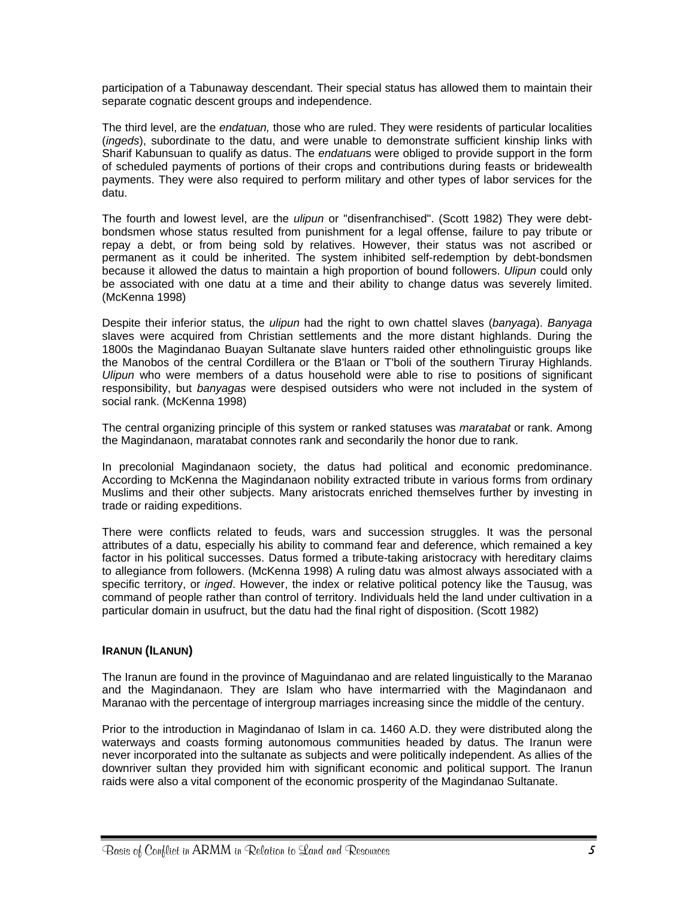<span id="page-10-0"></span>participation of a Tabunaway descendant. Their special status has allowed them to maintain their separate cognatic descent groups and independence.

The third level, are the *endatuan,* those who are ruled. They were residents of particular localities (*ingeds*), subordinate to the datu, and were unable to demonstrate sufficient kinship links with Sharif Kabunsuan to qualify as datus. The *endatuan*s were obliged to provide support in the form of scheduled payments of portions of their crops and contributions during feasts or bridewealth payments. They were also required to perform military and other types of labor services for the datu.

The fourth and lowest level, are the *ulipun* or "disenfranchised". (Scott 1982) They were debtbondsmen whose status resulted from punishment for a legal offense, failure to pay tribute or repay a debt, or from being sold by relatives. However, their status was not ascribed or permanent as it could be inherited. The system inhibited self-redemption by debt-bondsmen because it allowed the datus to maintain a high proportion of bound followers. *Ulipun* could only be associated with one datu at a time and their ability to change datus was severely limited. (McKenna 1998)

Despite their inferior status, the *ulipun* had the right to own chattel slaves (*banyaga*). *Banyaga* slaves were acquired from Christian settlements and the more distant highlands. During the 1800s the Magindanao Buayan Sultanate slave hunters raided other ethnolinguistic groups like the Manobos of the central Cordillera or the B'laan or T'boli of the southern Tiruray Highlands. *Ulipun* who were members of a datus household were able to rise to positions of significant responsibility, but *banyagas* were despised outsiders who were not included in the system of social rank. (McKenna 1998)

The central organizing principle of this system or ranked statuses was *maratabat* or rank. Among the Magindanaon, maratabat connotes rank and secondarily the honor due to rank.

In precolonial Magindanaon society, the datus had political and economic predominance. According to McKenna the Magindanaon nobility extracted tribute in various forms from ordinary Muslims and their other subjects. Many aristocrats enriched themselves further by investing in trade or raiding expeditions.

There were conflicts related to feuds, wars and succession struggles. It was the personal attributes of a datu, especially his ability to command fear and deference, which remained a key factor in his political successes. Datus formed a tribute-taking aristocracy with hereditary claims to allegiance from followers. (McKenna 1998) A ruling datu was almost always associated with a specific territory, or *inged*. However, the index or relative political potency like the Tausug, was command of people rather than control of territory. Individuals held the land under cultivation in a particular domain in usufruct, but the datu had the final right of disposition. (Scott 1982)

#### **IRANUN (ILANUN)**

The Iranun are found in the province of Maguindanao and are related linguistically to the Maranao and the Magindanaon. They are Islam who have intermarried with the Magindanaon and Maranao with the percentage of intergroup marriages increasing since the middle of the century.

Prior to the introduction in Magindanao of Islam in ca. 1460 A.D. they were distributed along the waterways and coasts forming autonomous communities headed by datus. The Iranun were never incorporated into the sultanate as subjects and were politically independent. As allies of the downriver sultan they provided him with significant economic and political support. The Iranun raids were also a vital component of the economic prosperity of the Magindanao Sultanate.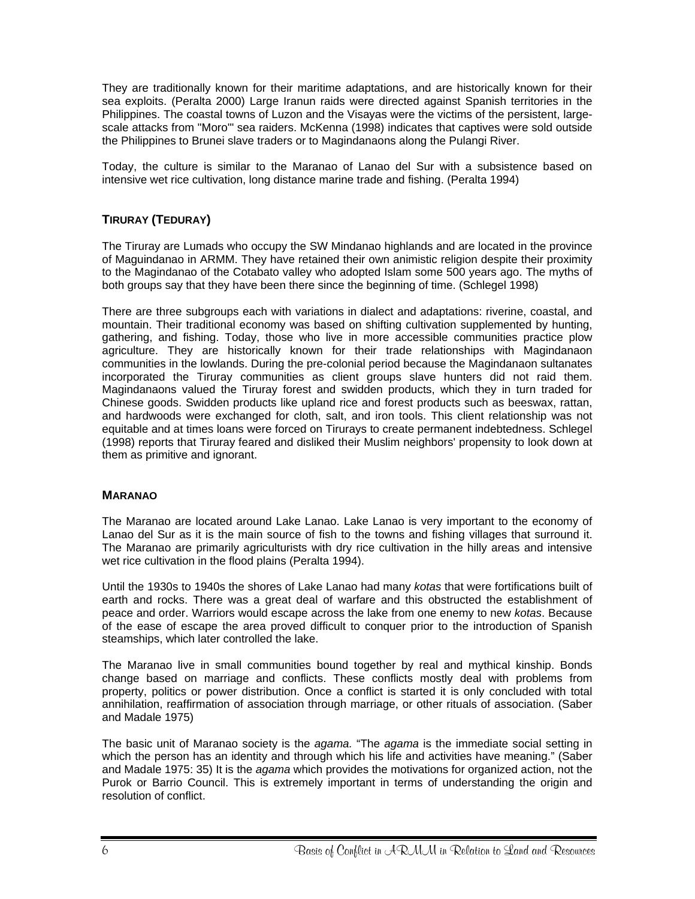<span id="page-11-0"></span>They are traditionally known for their maritime adaptations, and are historically known for their sea exploits. (Peralta 2000) Large Iranun raids were directed against Spanish territories in the Philippines. The coastal towns of Luzon and the Visayas were the victims of the persistent, largescale attacks from "Moro'" sea raiders. McKenna (1998) indicates that captives were sold outside the Philippines to Brunei slave traders or to Magindanaons along the Pulangi River.

Today, the culture is similar to the Maranao of Lanao del Sur with a subsistence based on intensive wet rice cultivation, long distance marine trade and fishing. (Peralta 1994)

#### **TIRURAY (TEDURAY)**

The Tiruray are Lumads who occupy the SW Mindanao highlands and are located in the province of Maguindanao in ARMM. They have retained their own animistic religion despite their proximity to the Magindanao of the Cotabato valley who adopted Islam some 500 years ago. The myths of both groups say that they have been there since the beginning of time. (Schlegel 1998)

There are three subgroups each with variations in dialect and adaptations: riverine, coastal, and mountain. Their traditional economy was based on shifting cultivation supplemented by hunting, gathering, and fishing. Today, those who live in more accessible communities practice plow agriculture. They are historically known for their trade relationships with Magindanaon communities in the lowlands. During the pre-colonial period because the Magindanaon sultanates incorporated the Tiruray communities as client groups slave hunters did not raid them. Magindanaons valued the Tiruray forest and swidden products, which they in turn traded for Chinese goods. Swidden products like upland rice and forest products such as beeswax, rattan, and hardwoods were exchanged for cloth, salt, and iron tools. This client relationship was not equitable and at times loans were forced on Tirurays to create permanent indebtedness. Schlegel (1998) reports that Tiruray feared and disliked their Muslim neighbors' propensity to look down at them as primitive and ignorant.

#### **MARANAO**

The Maranao are located around Lake Lanao. Lake Lanao is very important to the economy of Lanao del Sur as it is the main source of fish to the towns and fishing villages that surround it. The Maranao are primarily agriculturists with dry rice cultivation in the hilly areas and intensive wet rice cultivation in the flood plains (Peralta 1994).

Until the 1930s to 1940s the shores of Lake Lanao had many *kotas* that were fortifications built of earth and rocks. There was a great deal of warfare and this obstructed the establishment of peace and order. Warriors would escape across the lake from one enemy to new *kotas*. Because of the ease of escape the area proved difficult to conquer prior to the introduction of Spanish steamships, which later controlled the lake.

The Maranao live in small communities bound together by real and mythical kinship. Bonds change based on marriage and conflicts. These conflicts mostly deal with problems from property, politics or power distribution. Once a conflict is started it is only concluded with total annihilation, reaffirmation of association through marriage, or other rituals of association. (Saber and Madale 1975)

The basic unit of Maranao society is the *agama.* "The *agama* is the immediate social setting in which the person has an identity and through which his life and activities have meaning." (Saber and Madale 1975: 35) It is the *agama* which provides the motivations for organized action, not the Purok or Barrio Council. This is extremely important in terms of understanding the origin and resolution of conflict.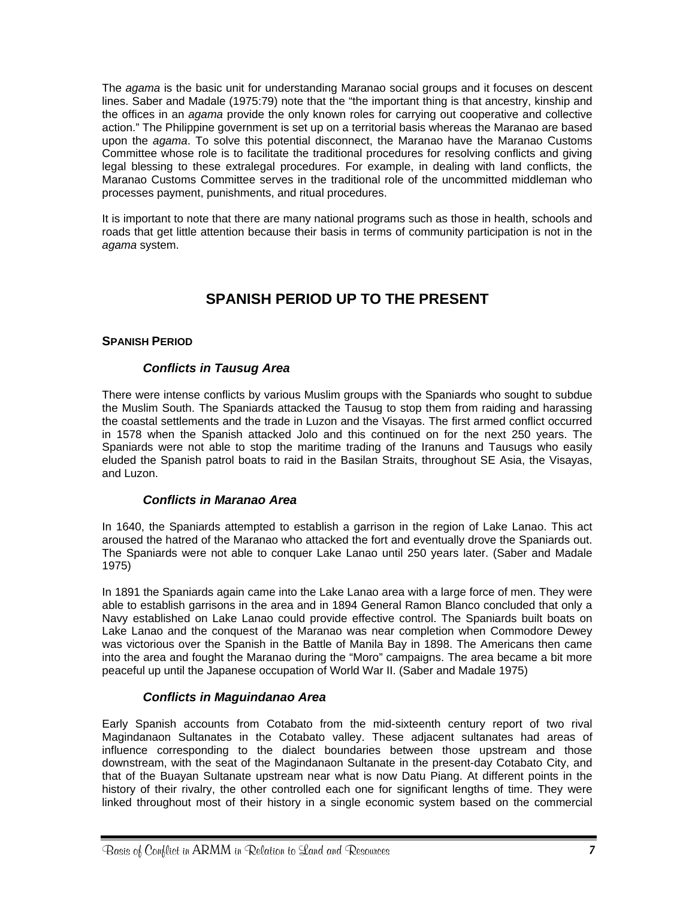<span id="page-12-0"></span>The *agama* is the basic unit for understanding Maranao social groups and it focuses on descent lines. Saber and Madale (1975:79) note that the "the important thing is that ancestry, kinship and the offices in an *agama* provide the only known roles for carrying out cooperative and collective action." The Philippine government is set up on a territorial basis whereas the Maranao are based upon the *agama*. To solve this potential disconnect, the Maranao have the Maranao Customs Committee whose role is to facilitate the traditional procedures for resolving conflicts and giving legal blessing to these extralegal procedures. For example, in dealing with land conflicts, the Maranao Customs Committee serves in the traditional role of the uncommitted middleman who processes payment, punishments, and ritual procedures.

It is important to note that there are many national programs such as those in health, schools and roads that get little attention because their basis in terms of community participation is not in the *agama* system.

# **SPANISH PERIOD UP TO THE PRESENT**

#### **SPANISH PERIOD**

#### *Conflicts in Tausug Area*

There were intense conflicts by various Muslim groups with the Spaniards who sought to subdue the Muslim South. The Spaniards attacked the Tausug to stop them from raiding and harassing the coastal settlements and the trade in Luzon and the Visayas. The first armed conflict occurred in 1578 when the Spanish attacked Jolo and this continued on for the next 250 years. The Spaniards were not able to stop the maritime trading of the Iranuns and Tausugs who easily eluded the Spanish patrol boats to raid in the Basilan Straits, throughout SE Asia, the Visayas, and Luzon.

#### *Conflicts in Maranao Area*

In 1640, the Spaniards attempted to establish a garrison in the region of Lake Lanao. This act aroused the hatred of the Maranao who attacked the fort and eventually drove the Spaniards out. The Spaniards were not able to conquer Lake Lanao until 250 years later. (Saber and Madale 1975)

In 1891 the Spaniards again came into the Lake Lanao area with a large force of men. They were able to establish garrisons in the area and in 1894 General Ramon Blanco concluded that only a Navy established on Lake Lanao could provide effective control. The Spaniards built boats on Lake Lanao and the conquest of the Maranao was near completion when Commodore Dewey was victorious over the Spanish in the Battle of Manila Bay in 1898. The Americans then came into the area and fought the Maranao during the "Moro" campaigns. The area became a bit more peaceful up until the Japanese occupation of World War II. (Saber and Madale 1975)

#### *Conflicts in Maguindanao Area*

Early Spanish accounts from Cotabato from the mid-sixteenth century report of two rival Magindanaon Sultanates in the Cotabato valley. These adjacent sultanates had areas of influence corresponding to the dialect boundaries between those upstream and those downstream, with the seat of the Magindanaon Sultanate in the present-day Cotabato City, and that of the Buayan Sultanate upstream near what is now Datu Piang. At different points in the history of their rivalry, the other controlled each one for significant lengths of time. They were linked throughout most of their history in a single economic system based on the commercial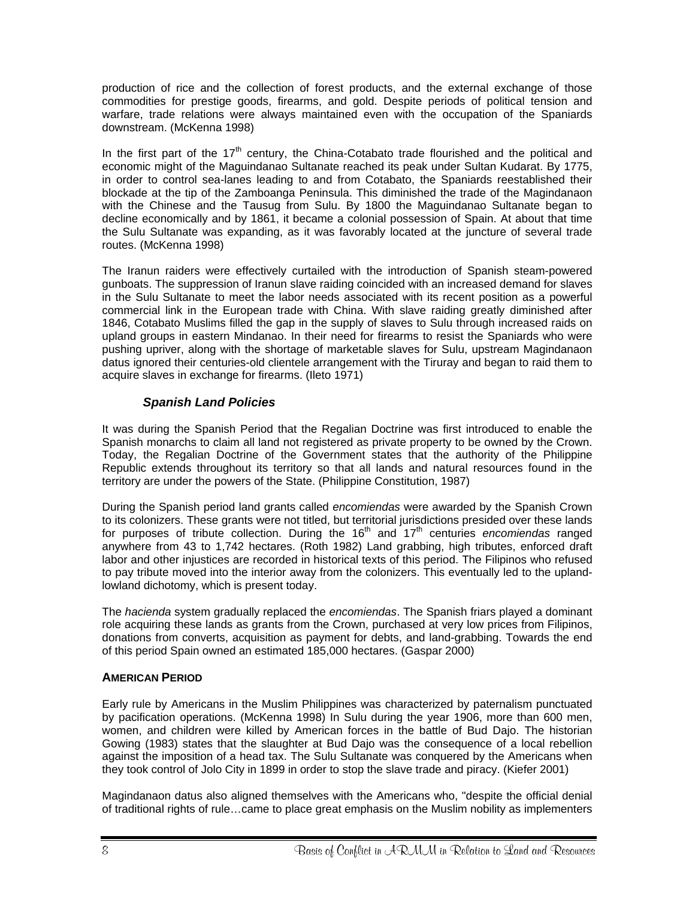<span id="page-13-0"></span>production of rice and the collection of forest products, and the external exchange of those commodities for prestige goods, firearms, and gold. Despite periods of political tension and warfare, trade relations were always maintained even with the occupation of the Spaniards downstream. (McKenna 1998)

In the first part of the 17<sup>th</sup> century, the China-Cotabato trade flourished and the political and economic might of the Maguindanao Sultanate reached its peak under Sultan Kudarat. By 1775, in order to control sea-lanes leading to and from Cotabato, the Spaniards reestablished their blockade at the tip of the Zamboanga Peninsula. This diminished the trade of the Magindanaon with the Chinese and the Tausug from Sulu. By 1800 the Maguindanao Sultanate began to decline economically and by 1861, it became a colonial possession of Spain. At about that time the Sulu Sultanate was expanding, as it was favorably located at the juncture of several trade routes. (McKenna 1998)

The Iranun raiders were effectively curtailed with the introduction of Spanish steam-powered gunboats. The suppression of Iranun slave raiding coincided with an increased demand for slaves in the Sulu Sultanate to meet the labor needs associated with its recent position as a powerful commercial link in the European trade with China. With slave raiding greatly diminished after 1846, Cotabato Muslims filled the gap in the supply of slaves to Sulu through increased raids on upland groups in eastern Mindanao. In their need for firearms to resist the Spaniards who were pushing upriver, along with the shortage of marketable slaves for Sulu, upstream Magindanaon datus ignored their centuries-old clientele arrangement with the Tiruray and began to raid them to acquire slaves in exchange for firearms. (Ileto 1971)

### *Spanish Land Policies*

It was during the Spanish Period that the Regalian Doctrine was first introduced to enable the Spanish monarchs to claim all land not registered as private property to be owned by the Crown. Today, the Regalian Doctrine of the Government states that the authority of the Philippine Republic extends throughout its territory so that all lands and natural resources found in the territory are under the powers of the State. (Philippine Constitution, 1987)

During the Spanish period land grants called *encomiendas* were awarded by the Spanish Crown to its colonizers. These grants were not titled, but territorial jurisdictions presided over these lands for purposes of tribute collection. During the 16th and 17th centuries *encomiendas* ranged anywhere from 43 to 1,742 hectares. (Roth 1982) Land grabbing, high tributes, enforced draft labor and other injustices are recorded in historical texts of this period. The Filipinos who refused to pay tribute moved into the interior away from the colonizers. This eventually led to the uplandlowland dichotomy, which is present today.

The *hacienda* system gradually replaced the *encomiendas*. The Spanish friars played a dominant role acquiring these lands as grants from the Crown, purchased at very low prices from Filipinos, donations from converts, acquisition as payment for debts, and land-grabbing. Towards the end of this period Spain owned an estimated 185,000 hectares. (Gaspar 2000)

#### **AMERICAN PERIOD**

Early rule by Americans in the Muslim Philippines was characterized by paternalism punctuated by pacification operations. (McKenna 1998) In Sulu during the year 1906, more than 600 men, women, and children were killed by American forces in the battle of Bud Dajo. The historian Gowing (1983) states that the slaughter at Bud Dajo was the consequence of a local rebellion against the imposition of a head tax. The Sulu Sultanate was conquered by the Americans when they took control of Jolo City in 1899 in order to stop the slave trade and piracy. (Kiefer 2001)

Magindanaon datus also aligned themselves with the Americans who, "despite the official denial of traditional rights of rule…came to place great emphasis on the Muslim nobility as implementers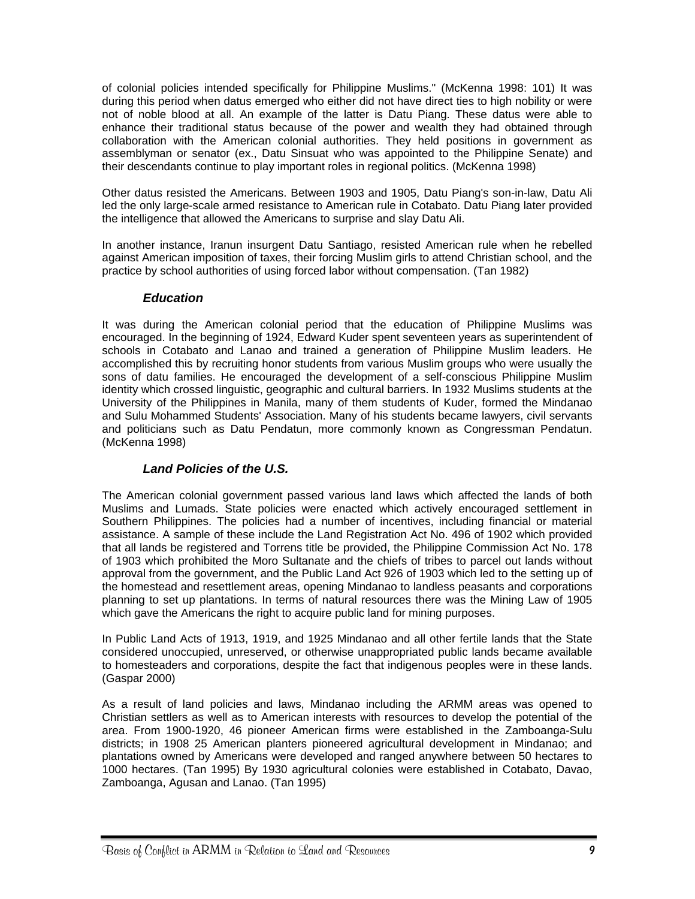<span id="page-14-0"></span>of colonial policies intended specifically for Philippine Muslims." (McKenna 1998: 101) It was during this period when datus emerged who either did not have direct ties to high nobility or were not of noble blood at all. An example of the latter is Datu Piang. These datus were able to enhance their traditional status because of the power and wealth they had obtained through collaboration with the American colonial authorities. They held positions in government as assemblyman or senator (ex., Datu Sinsuat who was appointed to the Philippine Senate) and their descendants continue to play important roles in regional politics. (McKenna 1998)

Other datus resisted the Americans. Between 1903 and 1905, Datu Piang's son-in-law, Datu Ali led the only large-scale armed resistance to American rule in Cotabato. Datu Piang later provided the intelligence that allowed the Americans to surprise and slay Datu Ali.

In another instance, Iranun insurgent Datu Santiago, resisted American rule when he rebelled against American imposition of taxes, their forcing Muslim girls to attend Christian school, and the practice by school authorities of using forced labor without compensation. (Tan 1982)

#### *Education*

It was during the American colonial period that the education of Philippine Muslims was encouraged. In the beginning of 1924, Edward Kuder spent seventeen years as superintendent of schools in Cotabato and Lanao and trained a generation of Philippine Muslim leaders. He accomplished this by recruiting honor students from various Muslim groups who were usually the sons of datu families. He encouraged the development of a self-conscious Philippine Muslim identity which crossed linguistic, geographic and cultural barriers. In 1932 Muslims students at the University of the Philippines in Manila, many of them students of Kuder, formed the Mindanao and Sulu Mohammed Students' Association. Many of his students became lawyers, civil servants and politicians such as Datu Pendatun, more commonly known as Congressman Pendatun. (McKenna 1998)

#### *Land Policies of the U.S.*

The American colonial government passed various land laws which affected the lands of both Muslims and Lumads. State policies were enacted which actively encouraged settlement in Southern Philippines. The policies had a number of incentives, including financial or material assistance. A sample of these include the Land Registration Act No. 496 of 1902 which provided that all lands be registered and Torrens title be provided, the Philippine Commission Act No. 178 of 1903 which prohibited the Moro Sultanate and the chiefs of tribes to parcel out lands without approval from the government, and the Public Land Act 926 of 1903 which led to the setting up of the homestead and resettlement areas, opening Mindanao to landless peasants and corporations planning to set up plantations. In terms of natural resources there was the Mining Law of 1905 which gave the Americans the right to acquire public land for mining purposes.

In Public Land Acts of 1913, 1919, and 1925 Mindanao and all other fertile lands that the State considered unoccupied, unreserved, or otherwise unappropriated public lands became available to homesteaders and corporations, despite the fact that indigenous peoples were in these lands. (Gaspar 2000)

As a result of land policies and laws, Mindanao including the ARMM areas was opened to Christian settlers as well as to American interests with resources to develop the potential of the area. From 1900-1920, 46 pioneer American firms were established in the Zamboanga-Sulu districts; in 1908 25 American planters pioneered agricultural development in Mindanao; and plantations owned by Americans were developed and ranged anywhere between 50 hectares to 1000 hectares. (Tan 1995) By 1930 agricultural colonies were established in Cotabato, Davao, Zamboanga, Agusan and Lanao. (Tan 1995)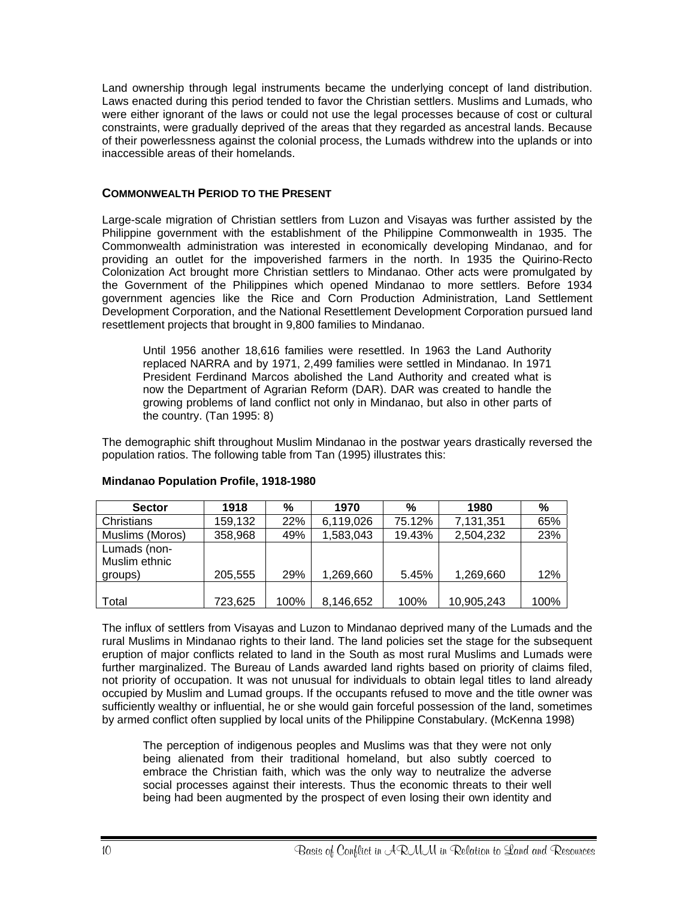<span id="page-15-0"></span>Land ownership through legal instruments became the underlying concept of land distribution. Laws enacted during this period tended to favor the Christian settlers. Muslims and Lumads, who were either ignorant of the laws or could not use the legal processes because of cost or cultural constraints, were gradually deprived of the areas that they regarded as ancestral lands. Because of their powerlessness against the colonial process, the Lumads withdrew into the uplands or into inaccessible areas of their homelands.

#### **COMMONWEALTH PERIOD TO THE PRESENT**

Large-scale migration of Christian settlers from Luzon and Visayas was further assisted by the Philippine government with the establishment of the Philippine Commonwealth in 1935. The Commonwealth administration was interested in economically developing Mindanao, and for providing an outlet for the impoverished farmers in the north. In 1935 the Quirino-Recto Colonization Act brought more Christian settlers to Mindanao. Other acts were promulgated by the Government of the Philippines which opened Mindanao to more settlers. Before 1934 government agencies like the Rice and Corn Production Administration, Land Settlement Development Corporation, and the National Resettlement Development Corporation pursued land resettlement projects that brought in 9,800 families to Mindanao.

Until 1956 another 18,616 families were resettled. In 1963 the Land Authority replaced NARRA and by 1971, 2,499 families were settled in Mindanao. In 1971 President Ferdinand Marcos abolished the Land Authority and created what is now the Department of Agrarian Reform (DAR). DAR was created to handle the growing problems of land conflict not only in Mindanao, but also in other parts of the country. (Tan 1995: 8)

The demographic shift throughout Muslim Mindanao in the postwar years drastically reversed the population ratios. The following table from Tan (1995) illustrates this:

| <b>Sector</b>   | 1918    | %    | 1970      | %      | 1980       | %    |
|-----------------|---------|------|-----------|--------|------------|------|
| Christians      | 159,132 | 22%  | 6,119,026 | 75.12% | 7,131,351  | 65%  |
| Muslims (Moros) | 358,968 | 49%  | 1,583,043 | 19.43% | 2,504,232  | 23%  |
| Lumads (non-    |         |      |           |        |            |      |
| Muslim ethnic   |         |      |           |        |            |      |
| groups)         | 205,555 | 29%  | 1,269,660 | 5.45%  | 1,269,660  | 12%  |
|                 |         |      |           |        |            |      |
| Total           | 723,625 | 100% | 8,146,652 | 100%   | 10,905,243 | 100% |

#### **Mindanao Population Profile, 1918-1980**

The influx of settlers from Visayas and Luzon to Mindanao deprived many of the Lumads and the rural Muslims in Mindanao rights to their land. The land policies set the stage for the subsequent eruption of major conflicts related to land in the South as most rural Muslims and Lumads were further marginalized. The Bureau of Lands awarded land rights based on priority of claims filed, not priority of occupation. It was not unusual for individuals to obtain legal titles to land already occupied by Muslim and Lumad groups. If the occupants refused to move and the title owner was sufficiently wealthy or influential, he or she would gain forceful possession of the land, sometimes by armed conflict often supplied by local units of the Philippine Constabulary. (McKenna 1998)

The perception of indigenous peoples and Muslims was that they were not only being alienated from their traditional homeland, but also subtly coerced to embrace the Christian faith, which was the only way to neutralize the adverse social processes against their interests. Thus the economic threats to their well being had been augmented by the prospect of even losing their own identity and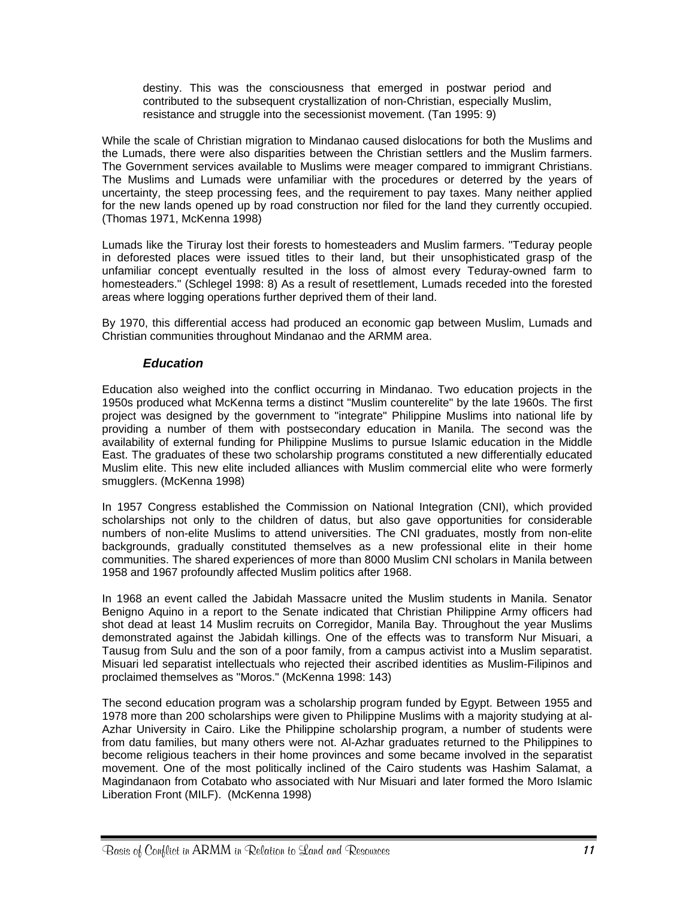<span id="page-16-0"></span>destiny. This was the consciousness that emerged in postwar period and contributed to the subsequent crystallization of non-Christian, especially Muslim, resistance and struggle into the secessionist movement. (Tan 1995: 9)

While the scale of Christian migration to Mindanao caused dislocations for both the Muslims and the Lumads, there were also disparities between the Christian settlers and the Muslim farmers. The Government services available to Muslims were meager compared to immigrant Christians. The Muslims and Lumads were unfamiliar with the procedures or deterred by the years of uncertainty, the steep processing fees, and the requirement to pay taxes. Many neither applied for the new lands opened up by road construction nor filed for the land they currently occupied. (Thomas 1971, McKenna 1998)

Lumads like the Tiruray lost their forests to homesteaders and Muslim farmers. "Teduray people in deforested places were issued titles to their land, but their unsophisticated grasp of the unfamiliar concept eventually resulted in the loss of almost every Teduray-owned farm to homesteaders." (Schlegel 1998: 8) As a result of resettlement, Lumads receded into the forested areas where logging operations further deprived them of their land.

By 1970, this differential access had produced an economic gap between Muslim, Lumads and Christian communities throughout Mindanao and the ARMM area.

#### *Education*

Education also weighed into the conflict occurring in Mindanao. Two education projects in the 1950s produced what McKenna terms a distinct "Muslim counterelite" by the late 1960s. The first project was designed by the government to "integrate" Philippine Muslims into national life by providing a number of them with postsecondary education in Manila. The second was the availability of external funding for Philippine Muslims to pursue Islamic education in the Middle East. The graduates of these two scholarship programs constituted a new differentially educated Muslim elite. This new elite included alliances with Muslim commercial elite who were formerly smugglers. (McKenna 1998)

In 1957 Congress established the Commission on National Integration (CNI), which provided scholarships not only to the children of datus, but also gave opportunities for considerable numbers of non-elite Muslims to attend universities. The CNI graduates, mostly from non-elite backgrounds, gradually constituted themselves as a new professional elite in their home communities. The shared experiences of more than 8000 Muslim CNI scholars in Manila between 1958 and 1967 profoundly affected Muslim politics after 1968.

In 1968 an event called the Jabidah Massacre united the Muslim students in Manila. Senator Benigno Aquino in a report to the Senate indicated that Christian Philippine Army officers had shot dead at least 14 Muslim recruits on Corregidor, Manila Bay. Throughout the year Muslims demonstrated against the Jabidah killings. One of the effects was to transform Nur Misuari, a Tausug from Sulu and the son of a poor family, from a campus activist into a Muslim separatist. Misuari led separatist intellectuals who rejected their ascribed identities as Muslim-Filipinos and proclaimed themselves as "Moros." (McKenna 1998: 143)

The second education program was a scholarship program funded by Egypt. Between 1955 and 1978 more than 200 scholarships were given to Philippine Muslims with a majority studying at al-Azhar University in Cairo. Like the Philippine scholarship program, a number of students were from datu families, but many others were not. Al-Azhar graduates returned to the Philippines to become religious teachers in their home provinces and some became involved in the separatist movement. One of the most politically inclined of the Cairo students was Hashim Salamat, a Magindanaon from Cotabato who associated with Nur Misuari and later formed the Moro Islamic Liberation Front (MILF). (McKenna 1998)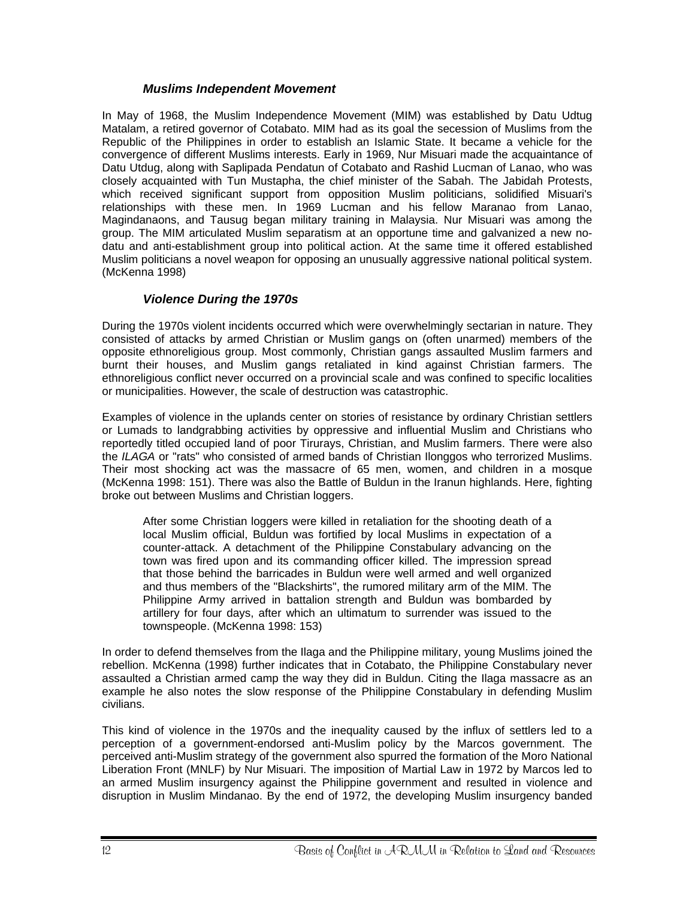#### *Muslims Independent Movement*

<span id="page-17-0"></span>In May of 1968, the Muslim Independence Movement (MIM) was established by Datu Udtug Matalam, a retired governor of Cotabato. MIM had as its goal the secession of Muslims from the Republic of the Philippines in order to establish an Islamic State. It became a vehicle for the convergence of different Muslims interests. Early in 1969, Nur Misuari made the acquaintance of Datu Utdug, along with Saplipada Pendatun of Cotabato and Rashid Lucman of Lanao, who was closely acquainted with Tun Mustapha, the chief minister of the Sabah. The Jabidah Protests, which received significant support from opposition Muslim politicians, solidified Misuari's relationships with these men. In 1969 Lucman and his fellow Maranao from Lanao, Magindanaons, and Tausug began military training in Malaysia. Nur Misuari was among the group. The MIM articulated Muslim separatism at an opportune time and galvanized a new nodatu and anti-establishment group into political action. At the same time it offered established Muslim politicians a novel weapon for opposing an unusually aggressive national political system. (McKenna 1998)

#### *Violence During the 1970s*

During the 1970s violent incidents occurred which were overwhelmingly sectarian in nature. They consisted of attacks by armed Christian or Muslim gangs on (often unarmed) members of the opposite ethnoreligious group. Most commonly, Christian gangs assaulted Muslim farmers and burnt their houses, and Muslim gangs retaliated in kind against Christian farmers. The ethnoreligious conflict never occurred on a provincial scale and was confined to specific localities or municipalities. However, the scale of destruction was catastrophic.

Examples of violence in the uplands center on stories of resistance by ordinary Christian settlers or Lumads to landgrabbing activities by oppressive and influential Muslim and Christians who reportedly titled occupied land of poor Tirurays, Christian, and Muslim farmers. There were also the *ILAGA* or "rats" who consisted of armed bands of Christian Ilonggos who terrorized Muslims. Their most shocking act was the massacre of 65 men, women, and children in a mosque (McKenna 1998: 151). There was also the Battle of Buldun in the Iranun highlands. Here, fighting broke out between Muslims and Christian loggers.

After some Christian loggers were killed in retaliation for the shooting death of a local Muslim official, Buldun was fortified by local Muslims in expectation of a counter-attack. A detachment of the Philippine Constabulary advancing on the town was fired upon and its commanding officer killed. The impression spread that those behind the barricades in Buldun were well armed and well organized and thus members of the "Blackshirts", the rumored military arm of the MIM. The Philippine Army arrived in battalion strength and Buldun was bombarded by artillery for four days, after which an ultimatum to surrender was issued to the townspeople. (McKenna 1998: 153)

In order to defend themselves from the Ilaga and the Philippine military, young Muslims joined the rebellion. McKenna (1998) further indicates that in Cotabato, the Philippine Constabulary never assaulted a Christian armed camp the way they did in Buldun. Citing the Ilaga massacre as an example he also notes the slow response of the Philippine Constabulary in defending Muslim civilians.

This kind of violence in the 1970s and the inequality caused by the influx of settlers led to a perception of a government-endorsed anti-Muslim policy by the Marcos government. The perceived anti-Muslim strategy of the government also spurred the formation of the Moro National Liberation Front (MNLF) by Nur Misuari. The imposition of Martial Law in 1972 by Marcos led to an armed Muslim insurgency against the Philippine government and resulted in violence and disruption in Muslim Mindanao. By the end of 1972, the developing Muslim insurgency banded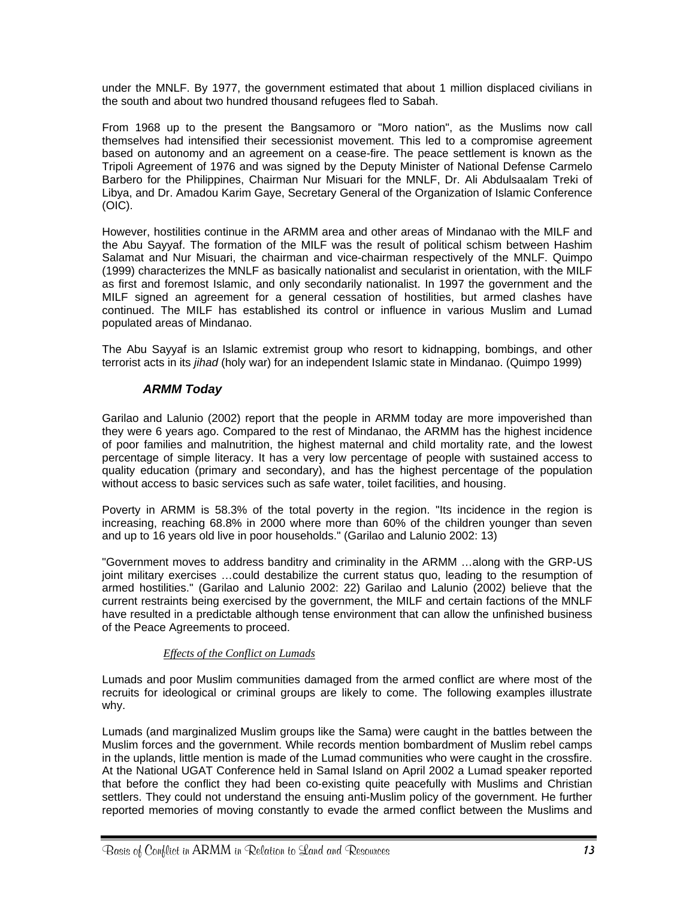<span id="page-18-0"></span>under the MNLF. By 1977, the government estimated that about 1 million displaced civilians in the south and about two hundred thousand refugees fled to Sabah.

From 1968 up to the present the Bangsamoro or "Moro nation", as the Muslims now call themselves had intensified their secessionist movement. This led to a compromise agreement based on autonomy and an agreement on a cease-fire. The peace settlement is known as the Tripoli Agreement of 1976 and was signed by the Deputy Minister of National Defense Carmelo Barbero for the Philippines, Chairman Nur Misuari for the MNLF, Dr. Ali Abdulsaalam Treki of Libya, and Dr. Amadou Karim Gaye, Secretary General of the Organization of Islamic Conference (OIC).

However, hostilities continue in the ARMM area and other areas of Mindanao with the MILF and the Abu Sayyaf. The formation of the MILF was the result of political schism between Hashim Salamat and Nur Misuari, the chairman and vice-chairman respectively of the MNLF. Quimpo (1999) characterizes the MNLF as basically nationalist and secularist in orientation, with the MILF as first and foremost Islamic, and only secondarily nationalist. In 1997 the government and the MILF signed an agreement for a general cessation of hostilities, but armed clashes have continued. The MILF has established its control or influence in various Muslim and Lumad populated areas of Mindanao.

The Abu Sayyaf is an Islamic extremist group who resort to kidnapping, bombings, and other terrorist acts in its *jihad* (holy war) for an independent Islamic state in Mindanao. (Quimpo 1999)

#### *ARMM Today*

Garilao and Lalunio (2002) report that the people in ARMM today are more impoverished than they were 6 years ago. Compared to the rest of Mindanao, the ARMM has the highest incidence of poor families and malnutrition, the highest maternal and child mortality rate, and the lowest percentage of simple literacy. It has a very low percentage of people with sustained access to quality education (primary and secondary), and has the highest percentage of the population without access to basic services such as safe water, toilet facilities, and housing.

Poverty in ARMM is 58.3% of the total poverty in the region. "Its incidence in the region is increasing, reaching 68.8% in 2000 where more than 60% of the children younger than seven and up to 16 years old live in poor households." (Garilao and Lalunio 2002: 13)

"Government moves to address banditry and criminality in the ARMM …along with the GRP-US joint military exercises …could destabilize the current status quo, leading to the resumption of armed hostilities." (Garilao and Lalunio 2002: 22) Garilao and Lalunio (2002) believe that the current restraints being exercised by the government, the MILF and certain factions of the MNLF have resulted in a predictable although tense environment that can allow the unfinished business of the Peace Agreements to proceed.

#### *Effects of the Conflict on Lumads*

Lumads and poor Muslim communities damaged from the armed conflict are where most of the recruits for ideological or criminal groups are likely to come. The following examples illustrate why.

Lumads (and marginalized Muslim groups like the Sama) were caught in the battles between the Muslim forces and the government. While records mention bombardment of Muslim rebel camps in the uplands, little mention is made of the Lumad communities who were caught in the crossfire. At the National UGAT Conference held in Samal Island on April 2002 a Lumad speaker reported that before the conflict they had been co-existing quite peacefully with Muslims and Christian settlers. They could not understand the ensuing anti-Muslim policy of the government. He further reported memories of moving constantly to evade the armed conflict between the Muslims and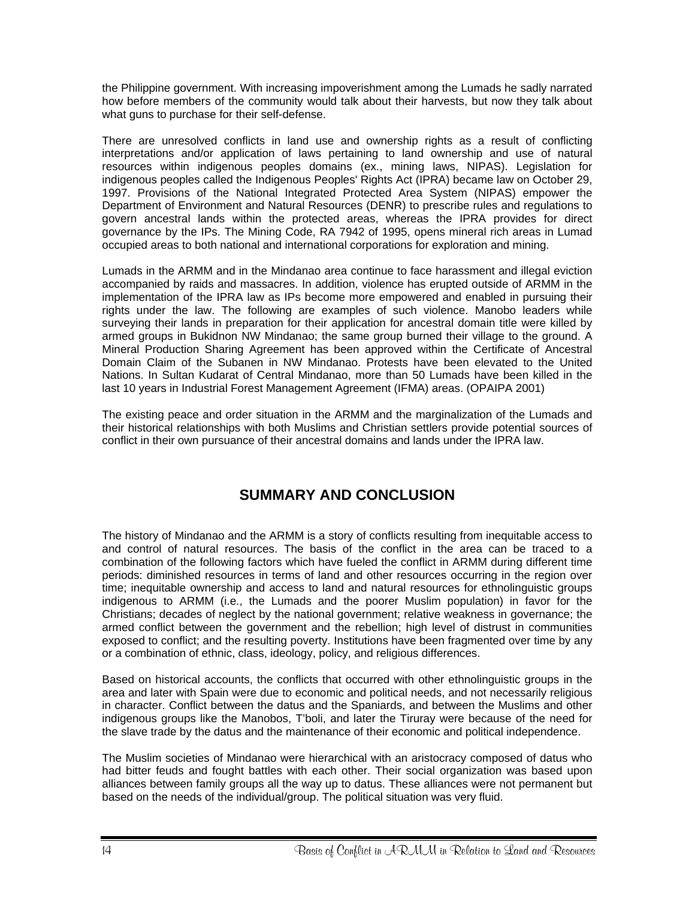<span id="page-19-0"></span>the Philippine government. With increasing impoverishment among the Lumads he sadly narrated how before members of the community would talk about their harvests, but now they talk about what guns to purchase for their self-defense.

There are unresolved conflicts in land use and ownership rights as a result of conflicting interpretations and/or application of laws pertaining to land ownership and use of natural resources within indigenous peoples domains (ex., mining laws, NIPAS). Legislation for indigenous peoples called the Indigenous Peoples' Rights Act (IPRA) became law on October 29, 1997. Provisions of the National Integrated Protected Area System (NIPAS) empower the Department of Environment and Natural Resources (DENR) to prescribe rules and regulations to govern ancestral lands within the protected areas, whereas the IPRA provides for direct governance by the IPs. The Mining Code, RA 7942 of 1995, opens mineral rich areas in Lumad occupied areas to both national and international corporations for exploration and mining.

Lumads in the ARMM and in the Mindanao area continue to face harassment and illegal eviction accompanied by raids and massacres. In addition, violence has erupted outside of ARMM in the implementation of the IPRA law as IPs become more empowered and enabled in pursuing their rights under the law. The following are examples of such violence. Manobo leaders while surveying their lands in preparation for their application for ancestral domain title were killed by armed groups in Bukidnon NW Mindanao; the same group burned their village to the ground. A Mineral Production Sharing Agreement has been approved within the Certificate of Ancestral Domain Claim of the Subanen in NW Mindanao. Protests have been elevated to the United Nations. In Sultan Kudarat of Central Mindanao, more than 50 Lumads have been killed in the last 10 years in Industrial Forest Management Agreement (IFMA) areas. (OPAIPA 2001)

The existing peace and order situation in the ARMM and the marginalization of the Lumads and their historical relationships with both Muslims and Christian settlers provide potential sources of conflict in their own pursuance of their ancestral domains and lands under the IPRA law.

# **SUMMARY AND CONCLUSION**

The history of Mindanao and the ARMM is a story of conflicts resulting from inequitable access to and control of natural resources. The basis of the conflict in the area can be traced to a combination of the following factors which have fueled the conflict in ARMM during different time periods: diminished resources in terms of land and other resources occurring in the region over time; inequitable ownership and access to land and natural resources for ethnolinguistic groups indigenous to ARMM (i.e., the Lumads and the poorer Muslim population) in favor for the Christians; decades of neglect by the national government; relative weakness in governance; the armed conflict between the government and the rebellion; high level of distrust in communities exposed to conflict; and the resulting poverty. Institutions have been fragmented over time by any or a combination of ethnic, class, ideology, policy, and religious differences.

Based on historical accounts, the conflicts that occurred with other ethnolinguistic groups in the area and later with Spain were due to economic and political needs, and not necessarily religious in character. Conflict between the datus and the Spaniards, and between the Muslims and other indigenous groups like the Manobos, T'boli, and later the Tiruray were because of the need for the slave trade by the datus and the maintenance of their economic and political independence.

The Muslim societies of Mindanao were hierarchical with an aristocracy composed of datus who had bitter feuds and fought battles with each other. Their social organization was based upon alliances between family groups all the way up to datus. These alliances were not permanent but based on the needs of the individual/group. The political situation was very fluid.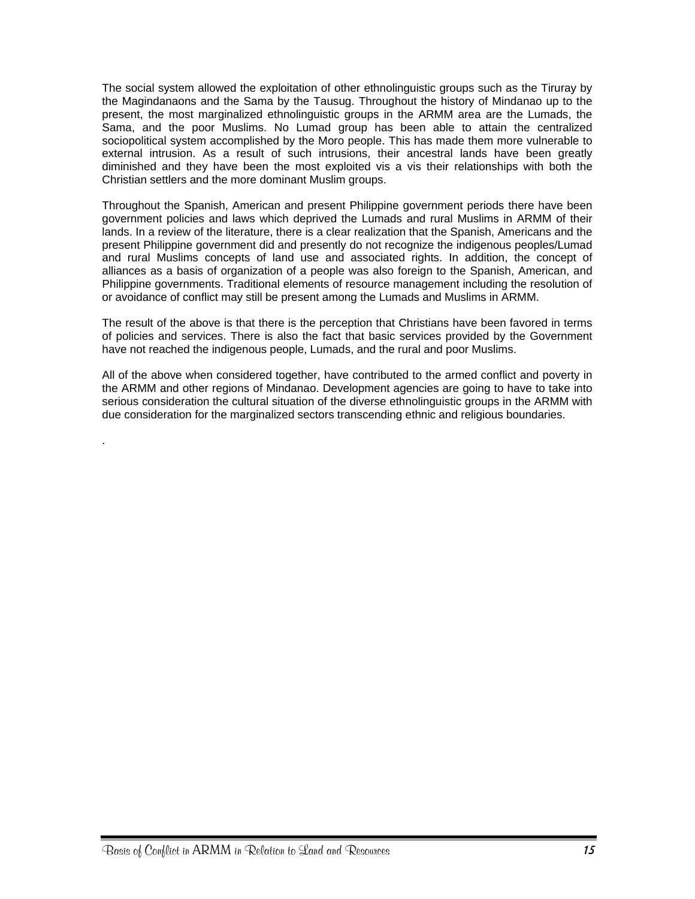The social system allowed the exploitation of other ethnolinguistic groups such as the Tiruray by the Magindanaons and the Sama by the Tausug. Throughout the history of Mindanao up to the present, the most marginalized ethnolinguistic groups in the ARMM area are the Lumads, the Sama, and the poor Muslims. No Lumad group has been able to attain the centralized sociopolitical system accomplished by the Moro people. This has made them more vulnerable to external intrusion. As a result of such intrusions, their ancestral lands have been greatly diminished and they have been the most exploited vis a vis their relationships with both the Christian settlers and the more dominant Muslim groups.

Throughout the Spanish, American and present Philippine government periods there have been government policies and laws which deprived the Lumads and rural Muslims in ARMM of their lands. In a review of the literature, there is a clear realization that the Spanish, Americans and the present Philippine government did and presently do not recognize the indigenous peoples/Lumad and rural Muslims concepts of land use and associated rights. In addition, the concept of alliances as a basis of organization of a people was also foreign to the Spanish, American, and Philippine governments. Traditional elements of resource management including the resolution of or avoidance of conflict may still be present among the Lumads and Muslims in ARMM.

The result of the above is that there is the perception that Christians have been favored in terms of policies and services. There is also the fact that basic services provided by the Government have not reached the indigenous people, Lumads, and the rural and poor Muslims.

All of the above when considered together, have contributed to the armed conflict and poverty in the ARMM and other regions of Mindanao. Development agencies are going to have to take into serious consideration the cultural situation of the diverse ethnolinguistic groups in the ARMM with due consideration for the marginalized sectors transcending ethnic and religious boundaries.

.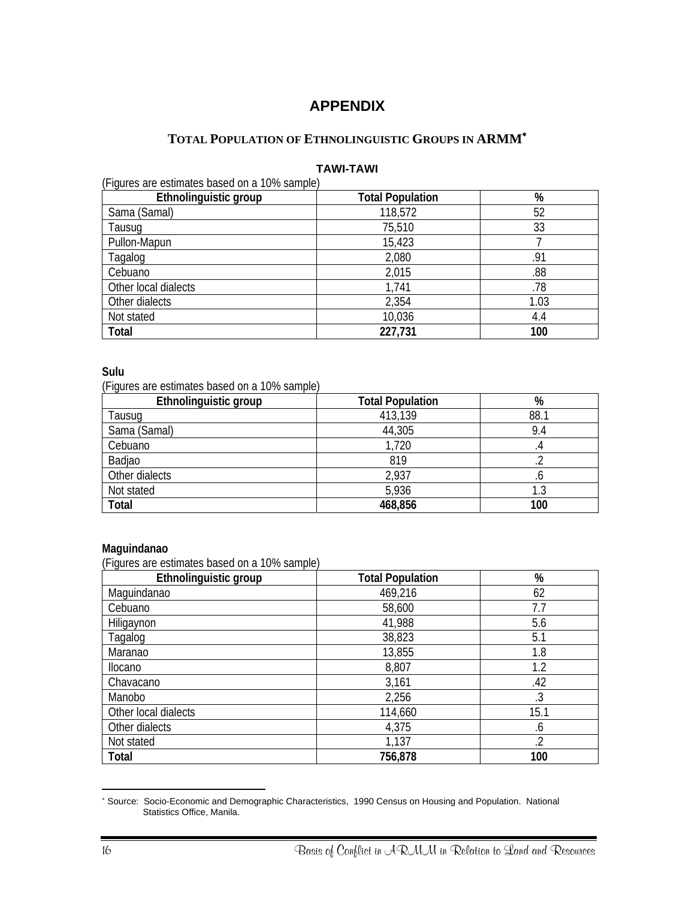## **APPENDIX**

## **TOTAL POPULATION OF ETHNOLINGUISTIC GROUPS IN ARMM**[∗](#page-21-1)

#### **TAWI-TAWI**

<span id="page-21-0"></span>(Figures are estimates based on a 10% sample)

| $\ddotsc$<br>Ethnolinguistic group | <b>Total Population</b> | $\%$ |
|------------------------------------|-------------------------|------|
| Sama (Samal)                       | 118,572                 | 52   |
| Tausug                             | 75,510                  | 33   |
| Pullon-Mapun                       | 15,423                  |      |
| Tagalog                            | 2,080                   | .91  |
| Cebuano                            | 2,015                   | .88  |
| Other local dialects               | 1,741                   | .78  |
| Other dialects                     | 2,354                   | 1.03 |
| Not stated                         | 10,036                  | 4.4  |
| Total                              | 227,731                 | 100  |

#### **Sulu**

(Figures are estimates based on a 10% sample)

| Ethnolinguistic group | <b>Total Population</b> | %    |
|-----------------------|-------------------------|------|
| Tausug                | 413,139                 | 88.1 |
| Sama (Samal)          | 44,305                  | 9.4  |
| Cebuano               | 1,720                   |      |
| Badjao                | 819                     |      |
| Other dialects        | 2,937                   | .0   |
| Not stated            | 5,936                   | 1.3  |
| Total                 | 468,856                 | 100  |

#### **Maguindanao**

(Figures are estimates based on a 10% sample)

| Ethnolinguistic group | <b>Total Population</b> | %    |
|-----------------------|-------------------------|------|
| Maguindanao           | 469,216                 | 62   |
| Cebuano               | 58,600                  | 7.7  |
| Hiligaynon            | 41,988                  | 5.6  |
| Tagalog               | 38,823                  | 5.1  |
| Maranao               | 13,855                  | 1.8  |
| Ilocano               | 8,807                   | 1.2  |
| Chavacano             | 3,161                   | .42  |
| Manobo                | 2,256                   | .3   |
| Other local dialects  | 114,660                 | 15.1 |
| Other dialects        | 4,375                   | .6   |
| Not stated            | 1,137                   | .2   |
| Total                 | 756,878                 | 100  |

<span id="page-21-1"></span> ∗ Source: Socio-Economic and Demographic Characteristics, 1990 Census on Housing and Population. National Statistics Office, Manila.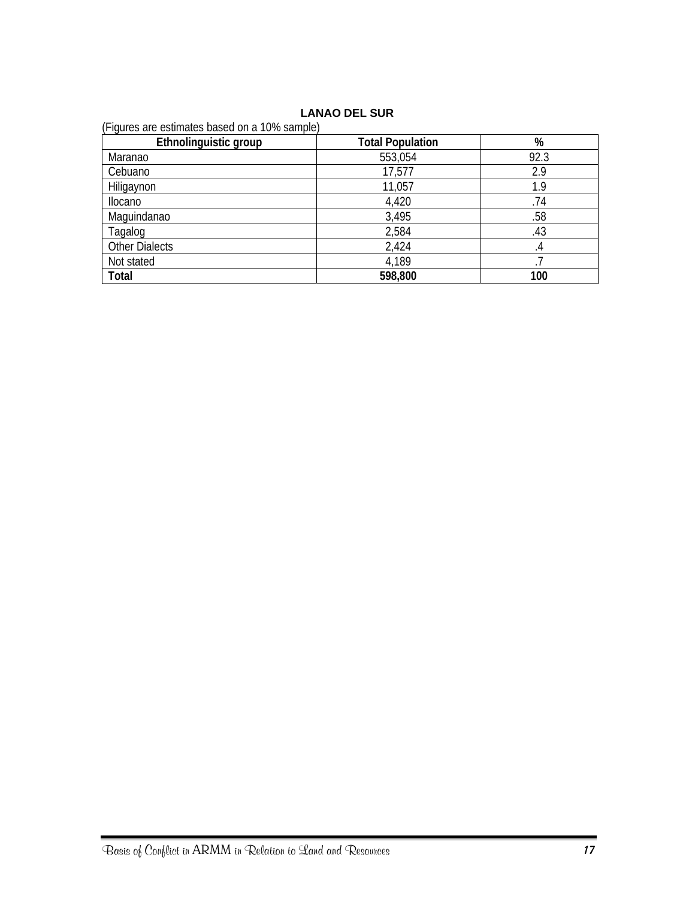#### **LANAO DEL SUR**

| (Figures are estimates based on a 10% sample) |                         |      |
|-----------------------------------------------|-------------------------|------|
| Ethnolinguistic group                         | <b>Total Population</b> | %    |
| Maranao                                       | 553,054                 | 92.3 |
| Cebuano                                       | 17,577                  | 2.9  |
| Hiligaynon                                    | 11,057                  | 1.9  |
| <b>Ilocano</b>                                | 4,420                   | .74  |
| Maquindanao                                   | 3,495                   | .58  |
| Tagalog                                       | 2,584                   | .43  |
| <b>Other Dialects</b>                         | 2,424                   | .4   |
| Not stated                                    | 4,189                   |      |
| Total                                         | 598,800                 | 100  |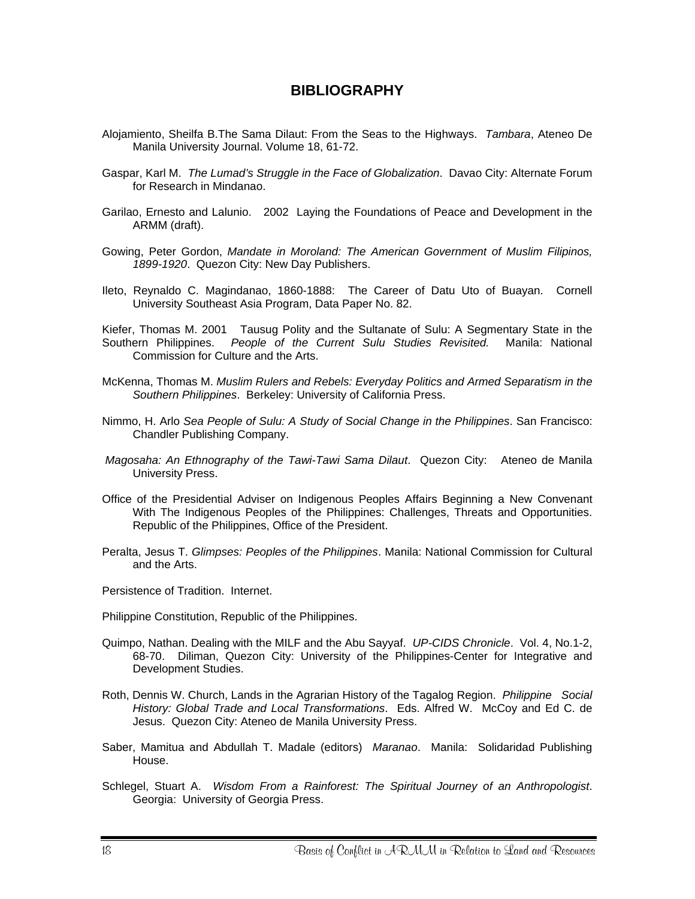## **BIBLIOGRAPHY**

- <span id="page-23-0"></span>Alojamiento, Sheilfa B.The Sama Dilaut: From the Seas to the Highways. *Tambara*, Ateneo De Manila University Journal. Volume 18, 61-72.
- Gaspar, Karl M. *The Lumad's Struggle in the Face of Globalization*. Davao City: Alternate Forum for Research in Mindanao.
- Garilao, Ernesto and Lalunio. 2002 Laying the Foundations of Peace and Development in the ARMM (draft).
- Gowing, Peter Gordon, *Mandate in Moroland: The American Government of Muslim Filipinos, 1899-1920*. Quezon City: New Day Publishers.
- Ileto, Reynaldo C. Magindanao, 1860-1888: The Career of Datu Uto of Buayan. Cornell University Southeast Asia Program, Data Paper No. 82.

Kiefer, Thomas M. 2001 Tausug Polity and the Sultanate of Sulu: A Segmentary State in the Southern Philippines. People of the Current Sulu Studies Revisited. Manila: National People of the Current Sulu Studies Revisited. Manila: National Commission for Culture and the Arts.

- McKenna, Thomas M. *Muslim Rulers and Rebels: Everyday Politics and Armed Separatism in the Southern Philippines*. Berkeley: University of California Press.
- Nimmo, H. Arlo *Sea People of Sulu: A Study of Social Change in the Philippines*. San Francisco: Chandler Publishing Company.
- *Magosaha: An Ethnography of the Tawi-Tawi Sama Dilaut*. Quezon City: Ateneo de Manila University Press.
- Office of the Presidential Adviser on Indigenous Peoples Affairs Beginning a New Convenant With The Indigenous Peoples of the Philippines: Challenges, Threats and Opportunities. Republic of the Philippines, Office of the President.
- Peralta, Jesus T. *Glimpses: Peoples of the Philippines*. Manila: National Commission for Cultural and the Arts.

Persistence of Tradition. Internet.

Philippine Constitution, Republic of the Philippines.

- Quimpo, Nathan. Dealing with the MILF and the Abu Sayyaf. *UP-CIDS Chronicle*. Vol. 4, No.1-2, 68-70. Diliman, Quezon City: University of the Philippines-Center for Integrative and Development Studies.
- Roth, Dennis W. Church, Lands in the Agrarian History of the Tagalog Region. *Philippine Social History: Global Trade and Local Transformations*. Eds. Alfred W. McCoy and Ed C. de Jesus. Quezon City: Ateneo de Manila University Press.
- Saber, Mamitua and Abdullah T. Madale (editors) *Maranao*. Manila: Solidaridad Publishing House.
- Schlegel, Stuart A. *Wisdom From a Rainforest: The Spiritual Journey of an Anthropologist*. Georgia: University of Georgia Press.